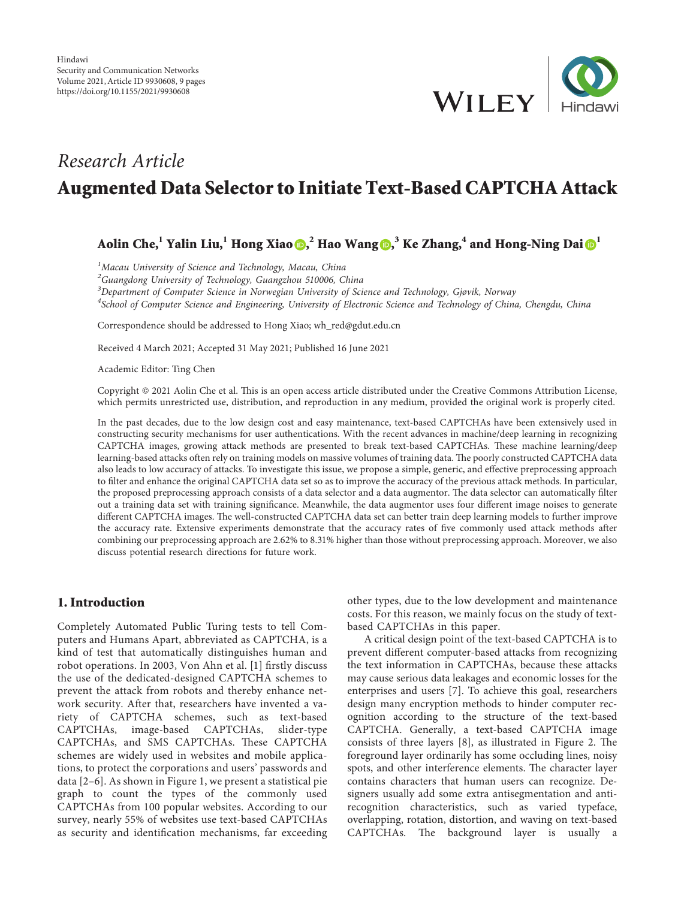

# *Research Article* **Augmented Data Selector to Initiate Text-Based CAPTCHA Attack**

# **Aolin Che,1 Yalin Liu,1 Hong Xiao , <sup>2</sup> Hao Wang , <sup>3</sup> Ke Zhang,<sup>4</sup> and Hong-Ning Dai [1](https://orcid.org/0000-0001-6165-4196)**

*1 Macau University of Science and Technology, Macau, China*

*2 Guangdong University of Technology, Guangzhou 510006, China*

*3 Department of Computer Science in Norwegian University of Science and Technology, Gjøvik, Norway*

*4 School of Computer Science and Engineering, University of Electronic Science and Technology of China, Chengdu, China*

Correspondence should be addressed to Hong Xiao; [wh\\_red@gdut.edu.cn](mailto:wh_red@gdut.edu.cn)

Received 4 March 2021; Accepted 31 May 2021; Published 16 June 2021

Academic Editor: Ting Chen

Copyright © 2021 Aolin Che et al. This is an open access article distributed under the [Creative Commons Attribution License](https://creativecommons.org/licenses/by/4.0/), which permits unrestricted use, distribution, and reproduction in any medium, provided the original work is properly cited.

In the past decades, due to the low design cost and easy maintenance, text-based CAPTCHAs have been extensively used in constructing security mechanisms for user authentications. With the recent advances in machine/deep learning in recognizing CAPTCHA images, growing attack methods are presented to break text-based CAPTCHAs. These machine learning/deep learning-based attacks often rely on training models on massive volumes of training data. The poorly constructed CAPTCHA data also leads to low accuracy of attacks. To investigate this issue, we propose a simple, generic, and effective preprocessing approach to filter and enhance the original CAPTCHA data set so as to improve the accuracy of the previous attack methods. In particular, the proposed preprocessing approach consists of a data selector and a data augmentor. The data selector can automatically filter out a training data set with training significance. Meanwhile, the data augmentor uses four different image noises to generate different CAPTCHA images. The well-constructed CAPTCHA data set can better train deep learning models to further improve the accuracy rate. Extensive experiments demonstrate that the accuracy rates of five commonly used attack methods after combining our preprocessing approach are 2.62% to 8.31% higher than those without preprocessing approach. Moreover, we also discuss potential research directions for future work.

# **1. Introduction**

Completely Automated Public Turing tests to tell Computers and Humans Apart, abbreviated as CAPTCHA, is a kind of test that automatically distinguishes human and robot operations. In 2003, Von Ahn et al. [[1](#page-7-0)] firstly discuss the use of the dedicated-designed CAPTCHA schemes to prevent the attack from robots and thereby enhance network security. After that, researchers have invented a variety of CAPTCHA schemes, such as text-based CAPTCHAs, image-based CAPTCHAs, slider-type CAPTCHAs, and SMS CAPTCHAs. These CAPTCHA schemes are widely used in websites and mobile applications, to protect the corporations and users' passwords and data [[2–6\]](#page-7-0). As shown in Figure [1](#page-1-0), we present a statistical pie graph to count the types of the commonly used CAPTCHAs from 100 popular websites. According to our survey, nearly 55% of websites use text-based CAPTCHAs as security and identification mechanisms, far exceeding other types, due to the low development and maintenance costs. For this reason, we mainly focus on the study of textbased CAPTCHAs in this paper.

A critical design point of the text-based CAPTCHA is to prevent different computer-based attacks from recognizing the text information in CAPTCHAs, because these attacks may cause serious data leakages and economic losses for the enterprises and users [\[7](#page-7-0)]. To achieve this goal, researchers design many encryption methods to hinder computer recognition according to the structure of the text-based CAPTCHA. Generally, a text-based CAPTCHA image consists of three layers  $[8]$ , as illustrated in Figure [2](#page-1-0). The foreground layer ordinarily has some occluding lines, noisy spots, and other interference elements. The character layer contains characters that human users can recognize. Designers usually add some extra antisegmentation and antirecognition characteristics, such as varied typeface, overlapping, rotation, distortion, and waving on text-based CAPTCHAs. The background layer is usually a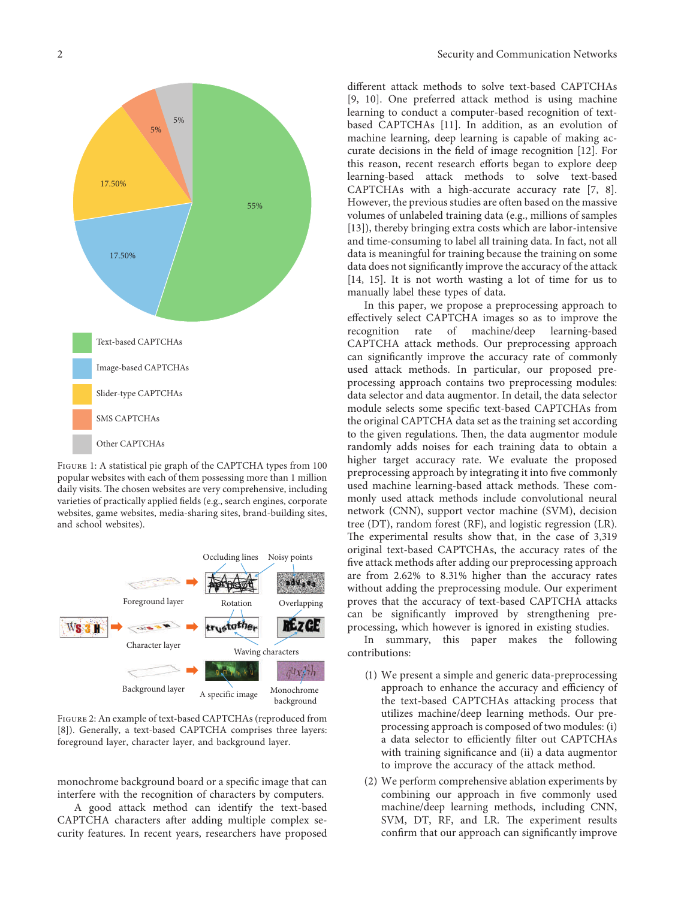<span id="page-1-0"></span>

Figure 1: A statistical pie graph of the CAPTCHA types from 100 popular websites with each of them possessing more than 1 million daily visits. The chosen websites are very comprehensive, including varieties of practically applied fields (e.g., search engines, corporate websites, game websites, media-sharing sites, brand-building sites, and school websites).



Figure 2: An example of text-based CAPTCHAs (reproduced from [\[8](#page-7-0)]). Generally, a text-based CAPTCHA comprises three layers: foreground layer, character layer, and background layer.

monochrome background board or a specific image that can interfere with the recognition of characters by computers.

A good attack method can identify the text-based CAPTCHA characters after adding multiple complex security features. In recent years, researchers have proposed

different attack methods to solve text-based CAPTCHAs [\[9](#page-8-0), [10](#page-8-0)]. One preferred attack method is using machine learning to conduct a computer-based recognition of textbased CAPTCHAs [\[11](#page-8-0)]. In addition, as an evolution of machine learning, deep learning is capable of making accurate decisions in the field of image recognition [\[12](#page-8-0)]. For this reason, recent research efforts began to explore deep learning-based attack methods to solve text-based CAPTCHAs with a high-accurate accuracy rate [[7](#page-7-0), [8](#page-7-0)]. However, the previous studies are often based on the massive volumes of unlabeled training data (e.g., millions of samples [\[13](#page-8-0)]), thereby bringing extra costs which are labor-intensive and time-consuming to label all training data. In fact, not all data is meaningful for training because the training on some data does not significantly improve the accuracy of the attack [\[14](#page-8-0), [15\]](#page-8-0). It is not worth wasting a lot of time for us to manually label these types of data.

In this paper, we propose a preprocessing approach to effectively select CAPTCHA images so as to improve the recognition rate of machine/deep learning-based CAPTCHA attack methods. Our preprocessing approach can significantly improve the accuracy rate of commonly used attack methods. In particular, our proposed preprocessing approach contains two preprocessing modules: data selector and data augmentor. In detail, the data selector module selects some specific text-based CAPTCHAs from the original CAPTCHA data set as the training set according to the given regulations. Then, the data augmentor module randomly adds noises for each training data to obtain a higher target accuracy rate. We evaluate the proposed preprocessing approach by integrating it into five commonly used machine learning-based attack methods. These commonly used attack methods include convolutional neural network (CNN), support vector machine (SVM), decision tree (DT), random forest (RF), and logistic regression (LR). The experimental results show that, in the case of 3,319 original text-based CAPTCHAs, the accuracy rates of the five attack methods after adding our preprocessing approach are from 2.62% to 8.31% higher than the accuracy rates without adding the preprocessing module. Our experiment proves that the accuracy of text-based CAPTCHA attacks can be significantly improved by strengthening preprocessing, which however is ignored in existing studies.

In summary, this paper makes the following contributions:

- (1) We present a simple and generic data-preprocessing approach to enhance the accuracy and efficiency of the text-based CAPTCHAs attacking process that utilizes machine/deep learning methods. Our preprocessing approach is composed of two modules: (i) a data selector to efficiently filter out CAPTCHAs with training significance and (ii) a data augmentor to improve the accuracy of the attack method.
- (2) We perform comprehensive ablation experiments by combining our approach in five commonly used machine/deep learning methods, including CNN, SVM, DT, RF, and LR. The experiment results confirm that our approach can significantly improve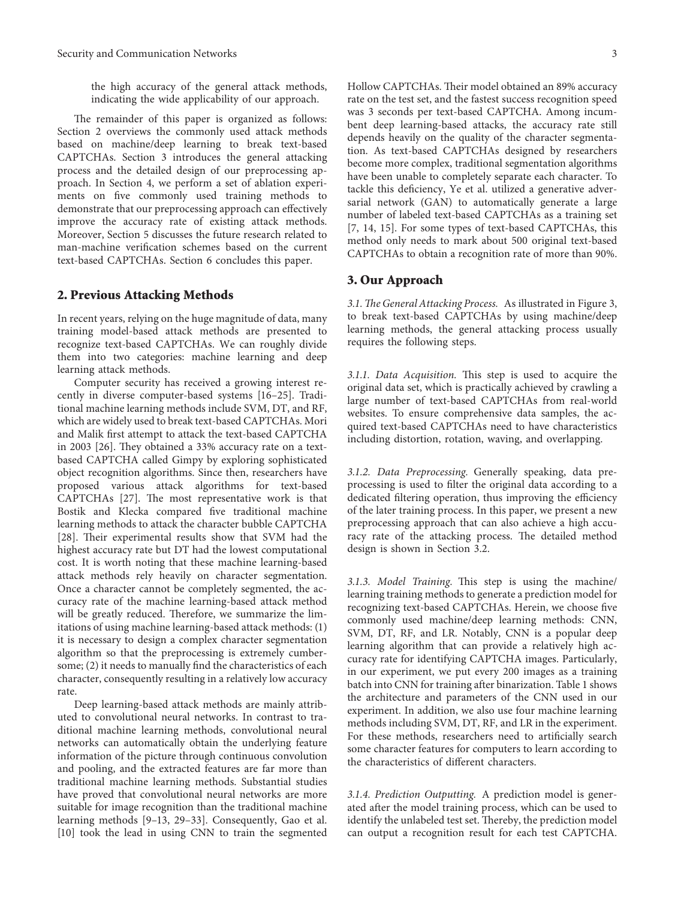<span id="page-2-0"></span>the high accuracy of the general attack methods, indicating the wide applicability of our approach.

The remainder of this paper is organized as follows: Section 2 overviews the commonly used attack methods based on machine/deep learning to break text-based CAPTCHAs. Section 3 introduces the general attacking process and the detailed design of our preprocessing approach. In [Section 4](#page-4-0), we perform a set of ablation experiments on five commonly used training methods to demonstrate that our preprocessing approach can effectively improve the accuracy rate of existing attack methods. Moreover, [Section 5](#page-6-0) discusses the future research related to man-machine verification schemes based on the current text-based CAPTCHAs. [Section 6](#page-7-0) concludes this paper.

# **2. Previous Attacking Methods**

In recent years, relying on the huge magnitude of data, many training model-based attack methods are presented to recognize text-based CAPTCHAs. We can roughly divide them into two categories: machine learning and deep learning attack methods.

Computer security has received a growing interest recently in diverse computer-based systems [\[16–25](#page-8-0)]. Traditional machine learning methods include SVM, DT, and RF, which are widely used to break text-based CAPTCHAs. Mori and Malik first attempt to attack the text-based CAPTCHA in 2003 [[26](#page-8-0)]. They obtained a 33% accuracy rate on a textbased CAPTCHA called Gimpy by exploring sophisticated object recognition algorithms. Since then, researchers have proposed various attack algorithms for text-based CAPTCHAs [[27](#page-8-0)]. The most representative work is that Bostik and Klecka compared five traditional machine learning methods to attack the character bubble CAPTCHA [\[28\]](#page-8-0). Their experimental results show that SVM had the highest accuracy rate but DT had the lowest computational cost. It is worth noting that these machine learning-based attack methods rely heavily on character segmentation. Once a character cannot be completely segmented, the accuracy rate of the machine learning-based attack method will be greatly reduced. Therefore, we summarize the limitations of using machine learning-based attack methods: (1) it is necessary to design a complex character segmentation algorithm so that the preprocessing is extremely cumbersome; (2) it needs to manually find the characteristics of each character, consequently resulting in a relatively low accuracy rate.

Deep learning-based attack methods are mainly attributed to convolutional neural networks. In contrast to traditional machine learning methods, convolutional neural networks can automatically obtain the underlying feature information of the picture through continuous convolution and pooling, and the extracted features are far more than traditional machine learning methods. Substantial studies have proved that convolutional neural networks are more suitable for image recognition than the traditional machine learning methods [[9–13, 29–33](#page-8-0)]. Consequently, Gao et al. [\[10](#page-8-0)] took the lead in using CNN to train the segmented Hollow CAPTCHAs. Their model obtained an 89% accuracy rate on the test set, and the fastest success recognition speed was 3 seconds per text-based CAPTCHA. Among incumbent deep learning-based attacks, the accuracy rate still depends heavily on the quality of the character segmentation. As text-based CAPTCHAs designed by researchers become more complex, traditional segmentation algorithms have been unable to completely separate each character. To tackle this deficiency, Ye et al. utilized a generative adversarial network (GAN) to automatically generate a large number of labeled text-based CAPTCHAs as a training set [\[7](#page-7-0), [14](#page-8-0), [15\]](#page-8-0). For some types of text-based CAPTCHAs, this method only needs to mark about 500 original text-based CAPTCHAs to obtain a recognition rate of more than 90%.

#### **3. Our Approach**

3.1. The General Attacking Process. As illustrated in Figure [3,](#page-3-0) to break text-based CAPTCHAs by using machine/deep learning methods, the general attacking process usually requires the following steps.

*3.1.1. Data Acquisition.* This step is used to acquire the original data set, which is practically achieved by crawling a large number of text-based CAPTCHAs from real-world websites. To ensure comprehensive data samples, the acquired text-based CAPTCHAs need to have characteristics including distortion, rotation, waving, and overlapping.

*3.1.2. Data Preprocessing.* Generally speaking, data preprocessing is used to filter the original data according to a dedicated filtering operation, thus improving the efficiency of the later training process. In this paper, we present a new preprocessing approach that can also achieve a high accuracy rate of the attacking process. The detailed method design is shown in Section [3.2.](#page-3-0)

3.1.3. Model Training. This step is using the machine/ learning training methods to generate a prediction model for recognizing text-based CAPTCHAs. Herein, we choose five commonly used machine/deep learning methods: CNN, SVM, DT, RF, and LR. Notably, CNN is a popular deep learning algorithm that can provide a relatively high accuracy rate for identifying CAPTCHA images. Particularly, in our experiment, we put every 200 images as a training batch into CNN for training after binarization. Table [1](#page-3-0) shows the architecture and parameters of the CNN used in our experiment. In addition, we also use four machine learning methods including SVM, DT, RF, and LR in the experiment. For these methods, researchers need to artificially search some character features for computers to learn according to the characteristics of different characters.

*3.1.4. Prediction Outputting.* A prediction model is generated after the model training process, which can be used to identify the unlabeled test set. Thereby, the prediction model can output a recognition result for each test CAPTCHA.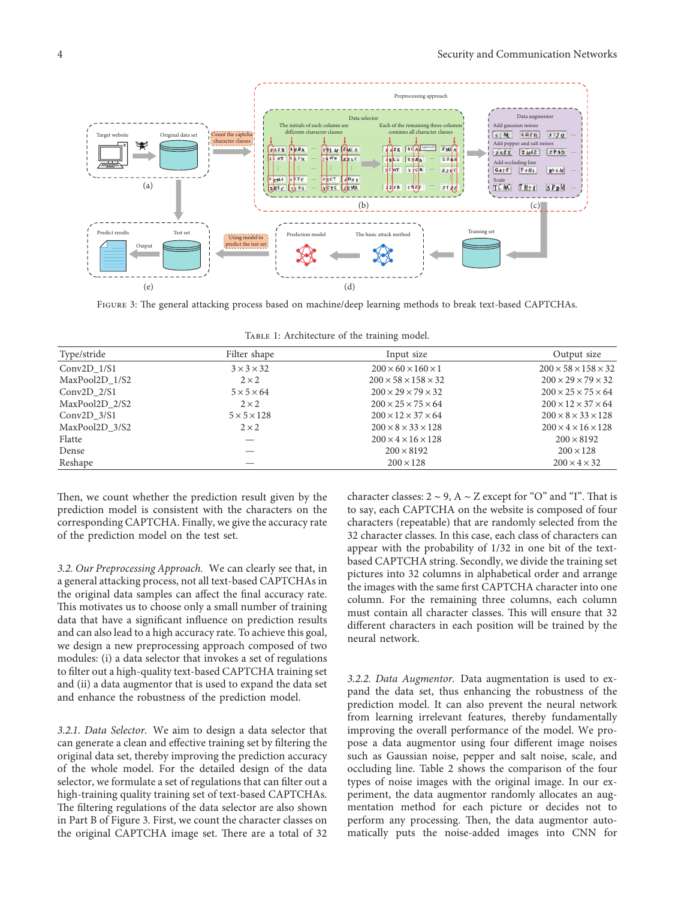<span id="page-3-0"></span>

FIGURE 3: The general attacking process based on machine/deep learning methods to break text-based CAPTCHAs.

| Type/stride       | Filter shape            | Input size                           | Output size                          |  |
|-------------------|-------------------------|--------------------------------------|--------------------------------------|--|
| Conv $2D$ 1/ $S1$ | $3 \times 3 \times 32$  | $200 \times 60 \times 160 \times 1$  | $200 \times 58 \times 158 \times 32$ |  |
| MaxPool2D 1/S2    | $2 \times 2$            | $200 \times 58 \times 158 \times 32$ | $200 \times 29 \times 79 \times 32$  |  |
| Conv $2D$ $2/S1$  | $5 \times 5 \times 64$  | $200 \times 29 \times 79 \times 32$  | $200 \times 25 \times 75 \times 64$  |  |
| MaxPool2D 2/S2    | $2 \times 2$            | $200 \times 25 \times 75 \times 64$  | $200 \times 12 \times 37 \times 64$  |  |
| Conv $2D$ 3/ $S1$ | $5 \times 5 \times 128$ | $200 \times 12 \times 37 \times 64$  | $200 \times 8 \times 33 \times 128$  |  |
| MaxPool2D 3/S2    | $2 \times 2$            | $200 \times 8 \times 33 \times 128$  | $200 \times 4 \times 16 \times 128$  |  |
| Flatte            |                         | $200 \times 4 \times 16 \times 128$  | $200 \times 8192$                    |  |
| Dense             |                         | $200 \times 8192$                    | $200 \times 128$                     |  |
| Reshape           |                         | $200 \times 128$                     | $200 \times 4 \times 32$             |  |

TABLE 1: Architecture of the training model.

Then, we count whether the prediction result given by the prediction model is consistent with the characters on the corresponding CAPTCHA. Finally, we give the accuracy rate of the prediction model on the test set.

*3.2. Our Preprocessing Approach.* We can clearly see that, in a general attacking process, not all text-based CAPTCHAs in the original data samples can affect the final accuracy rate. This motivates us to choose only a small number of training data that have a significant influence on prediction results and can also lead to a high accuracy rate. To achieve this goal, we design a new preprocessing approach composed of two modules: (i) a data selector that invokes a set of regulations to filter out a high-quality text-based CAPTCHA training set and (ii) a data augmentor that is used to expand the data set and enhance the robustness of the prediction model.

*3.2.1. Data Selector.* We aim to design a data selector that can generate a clean and effective training set by filtering the original data set, thereby improving the prediction accuracy of the whole model. For the detailed design of the data selector, we formulate a set of regulations that can filter out a high-training quality training set of text-based CAPTCHAs. The filtering regulations of the data selector are also shown in Part B of Figure 3. First, we count the character classes on the original CAPTCHA image set. There are a total of 32

character classes:  $2 \sim 9$ , A  $\sim$  Z except for "O" and "I". That is to say, each CAPTCHA on the website is composed of four characters (repeatable) that are randomly selected from the 32 character classes. In this case, each class of characters can appear with the probability of 1/32 in one bit of the textbased CAPTCHA string. Secondly, we divide the training set pictures into 32 columns in alphabetical order and arrange the images with the same first CAPTCHA character into one column. For the remaining three columns, each column must contain all character classes. This will ensure that 32 different characters in each position will be trained by the neural network.

*3.2.2. Data Augmentor.* Data augmentation is used to expand the data set, thus enhancing the robustness of the prediction model. It can also prevent the neural network from learning irrelevant features, thereby fundamentally improving the overall performance of the model. We propose a data augmentor using four different image noises such as Gaussian noise, pepper and salt noise, scale, and occluding line. Table [2](#page-4-0) shows the comparison of the four types of noise images with the original image. In our experiment, the data augmentor randomly allocates an augmentation method for each picture or decides not to perform any processing. Then, the data augmentor automatically puts the noise-added images into CNN for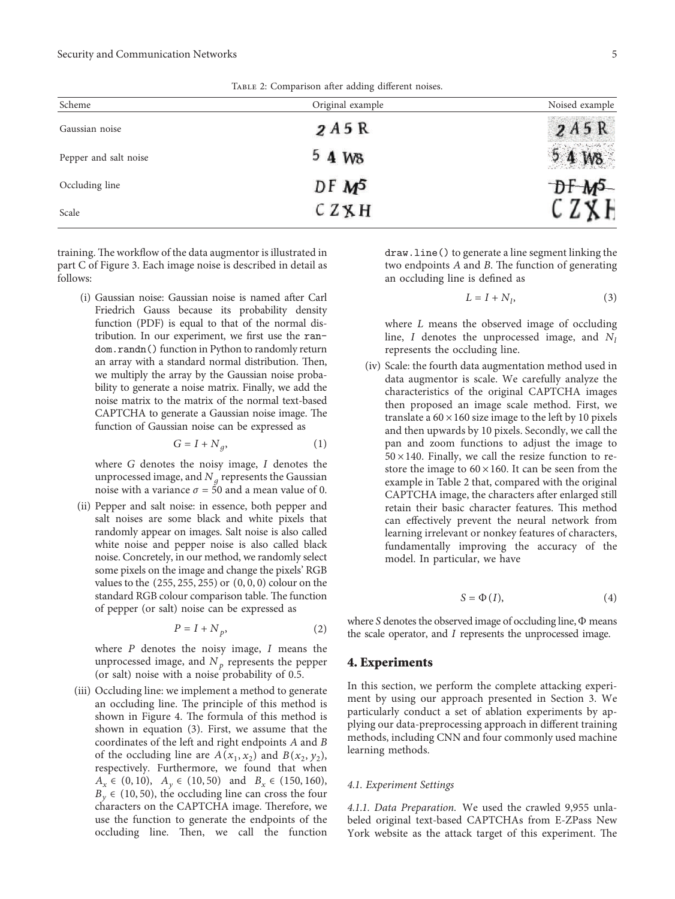Table 2: Comparison after adding different noises.

<span id="page-4-0"></span>

| Scheme                | Original example   | Noised example   |
|-----------------------|--------------------|------------------|
| Gaussian noise        | 2A5R               | 2A5R             |
| Pepper and salt noise | 5 4 W <sub>8</sub> | 4 W <sub>8</sub> |
| Occluding line        | DF M <sub>5</sub>  | $DF M^5$         |
| Scale                 | $CZ$ XH            |                  |

training. The workflow of the data augmentor is illustrated in part C of Figure [3](#page-3-0). Each image noise is described in detail as follows:

(i) Gaussian noise: Gaussian noise is named after Carl Friedrich Gauss because its probability density function (PDF) is equal to that of the normal distribution. In our experiment, we first use the random.randn() function in Python to randomly return an array with a standard normal distribution. Then, we multiply the array by the Gaussian noise probability to generate a noise matrix. Finally, we add the noise matrix to the matrix of the normal text-based CAPTCHA to generate a Gaussian noise image. The function of Gaussian noise can be expressed as

$$
G = I + N_g,\tag{1}
$$

where *G* denotes the noisy image, *I* denotes the unprocessed image, and  $N_a$  represents the Gaussian noise with a variance  $\sigma = 50$  and a mean value of 0.

(ii) Pepper and salt noise: in essence, both pepper and salt noises are some black and white pixels that randomly appear on images. Salt noise is also called white noise and pepper noise is also called black noise. Concretely, in our method, we randomly select some pixels on the image and change the pixels' RGB values to the (255*,* 255*,* 255) or (0*,* 0*,* 0) colour on the standard RGB colour comparison table. The function of pepper (or salt) noise can be expressed as

$$
P = I + N_p,\tag{2}
$$

where *P* denotes the noisy image, *I* means the unprocessed image, and  $N_p$  represents the pepper (or salt) noise with a noise probability of 0.5.

(iii) Occluding line: we implement a method to generate an occluding line. The principle of this method is shown in Figure [4](#page-5-0). The formula of this method is shown in equation (3). First, we assume that the coordinates of the left and right endpoints *A* and *B* of the occluding line are  $A(x_1, x_2)$  and  $B(x_2, y_2)$ , respectively. Furthermore, we found that when *A<sub>x</sub>* ∈ (0, 10), *A<sub>y</sub>* ∈ (10, 50) and *B<sub>x</sub>* ∈ (150, 160),  $B_y \in (10, 50)$ , the occluding line can cross the four characters on the CAPTCHA image. Therefore, we use the function to generate the endpoints of the occluding line. Then, we call the function

draw.line() to generate a line segment linking the two endpoints *A* and *B*. The function of generating an occluding line is defined as

$$
L = I + N_l,\tag{3}
$$

where *L* means the observed image of occluding line, *I* denotes the unprocessed image, and  $N_l$ represents the occluding line.

(iv) Scale: the fourth data augmentation method used in data augmentor is scale. We carefully analyze the characteristics of the original CAPTCHA images then proposed an image scale method. First, we translate a  $60 \times 160$  size image to the left by 10 pixels and then upwards by 10 pixels. Secondly, we call the pan and zoom functions to adjust the image to  $50 \times 140$ . Finally, we call the resize function to restore the image to  $60 \times 160$ . It can be seen from the example in Table 2 that, compared with the original CAPTCHA image, the characters after enlarged still retain their basic character features. This method can effectively prevent the neural network from learning irrelevant or nonkey features of characters, fundamentally improving the accuracy of the model. In particular, we have

$$
S = \Phi(I),\tag{4}
$$

where *S* denotes the observed image of occluding line, Φ means the scale operator, and *I* represents the unprocessed image.

#### **4. Experiments**

In this section, we perform the complete attacking experiment by using our approach presented in [Section 3.](#page-2-0) We particularly conduct a set of ablation experiments by applying our data-preprocessing approach in different training methods, including CNN and four commonly used machine learning methods.

#### *4.1. Experiment Settings*

*4.1.1. Data Preparation.* We used the crawled 9,955 unlabeled original text-based CAPTCHAs from E-ZPass New York website as the attack target of this experiment. The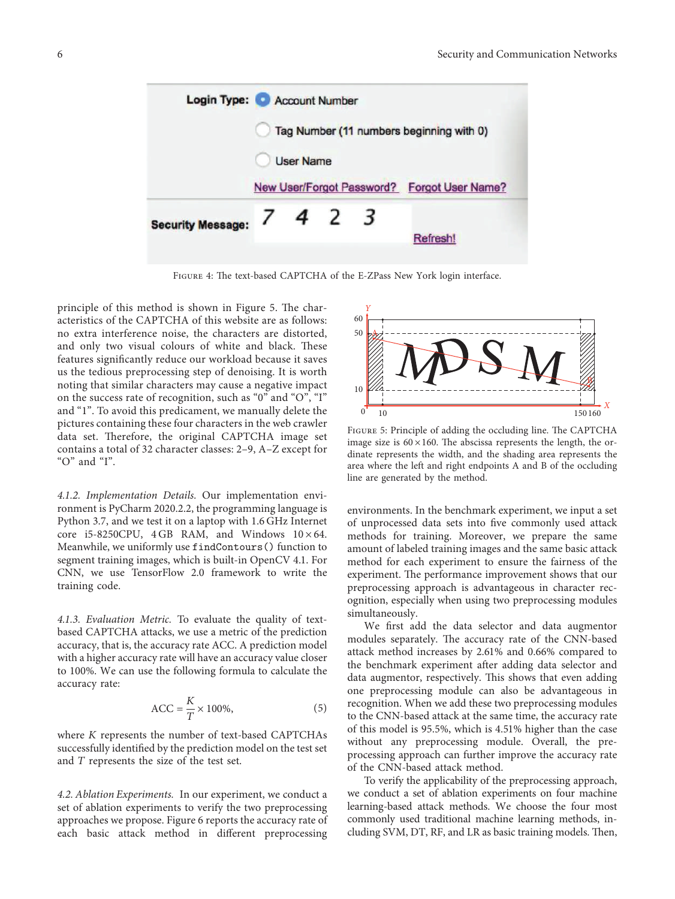<span id="page-5-0"></span>

| Login Type: Account Number                                   |  |      |  |                                             |
|--------------------------------------------------------------|--|------|--|---------------------------------------------|
| Tag Number (11 numbers beginning with 0)<br><b>User Name</b> |  |      |  |                                             |
|                                                              |  |      |  | New User/Forgot Password? Forgot User Name? |
|                                                              |  | 7423 |  |                                             |

FIGURE 4: The text-based CAPTCHA of the E-ZPass New York login interface.

principle of this method is shown in Figure 5. The characteristics of the CAPTCHA of this website are as follows: no extra interference noise, the characters are distorted, and only two visual colours of white and black. These features significantly reduce our workload because it saves us the tedious preprocessing step of denoising. It is worth noting that similar characters may cause a negative impact on the success rate of recognition, such as "0" and "O", "I" and "1". To avoid this predicament, we manually delete the pictures containing these four characters in the web crawler data set. Therefore, the original CAPTCHA image set contains a total of 32 character classes: 2–9, A–Z except for "O" and "I".

*4.1.2. Implementation Details.* Our implementation environment is PyCharm 2020.2.2, the programming language is Python 3.7, and we test it on a laptop with 1.6 GHz Internet core i5-8250CPU, 4 GB RAM, and Windows  $10 \times 64$ . Meanwhile, we uniformly use findContours() function to segment training images, which is built-in OpenCV 4.1. For CNN, we use TensorFlow 2.0 framework to write the training code.

*4.1.3. Evaluation Metric.* To evaluate the quality of textbased CAPTCHA attacks, we use a metric of the prediction accuracy, that is, the accuracy rate ACC. A prediction model with a higher accuracy rate will have an accuracy value closer to 100%. We can use the following formula to calculate the accuracy rate:

$$
ACC = \frac{K}{T} \times 100\%,\tag{5}
$$

where *K* represents the number of text-based CAPTCHAs successfully identified by the prediction model on the test set and *T* represents the size of the test set.

*4.2. Ablation Experiments.* In our experiment, we conduct a set of ablation experiments to verify the two preprocessing approaches we propose. Figure [6](#page-6-0) reports the accuracy rate of each basic attack method in different preprocessing



FIGURE 5: Principle of adding the occluding line. The CAPTCHA image size is  $60 \times 160$ . The abscissa represents the length, the ordinate represents the width, and the shading area represents the area where the left and right endpoints A and B of the occluding line are generated by the method.

environments. In the benchmark experiment, we input a set of unprocessed data sets into five commonly used attack methods for training. Moreover, we prepare the same amount of labeled training images and the same basic attack method for each experiment to ensure the fairness of the experiment. The performance improvement shows that our preprocessing approach is advantageous in character recognition, especially when using two preprocessing modules simultaneously.

We first add the data selector and data augmentor modules separately. The accuracy rate of the CNN-based attack method increases by 2.61% and 0.66% compared to the benchmark experiment after adding data selector and data augmentor, respectively. This shows that even adding one preprocessing module can also be advantageous in recognition. When we add these two preprocessing modules to the CNN-based attack at the same time, the accuracy rate of this model is 95.5%, which is 4.51% higher than the case without any preprocessing module. Overall, the preprocessing approach can further improve the accuracy rate of the CNN-based attack method.

To verify the applicability of the preprocessing approach, we conduct a set of ablation experiments on four machine learning-based attack methods. We choose the four most commonly used traditional machine learning methods, including SVM, DT, RF, and LR as basic training models. Then,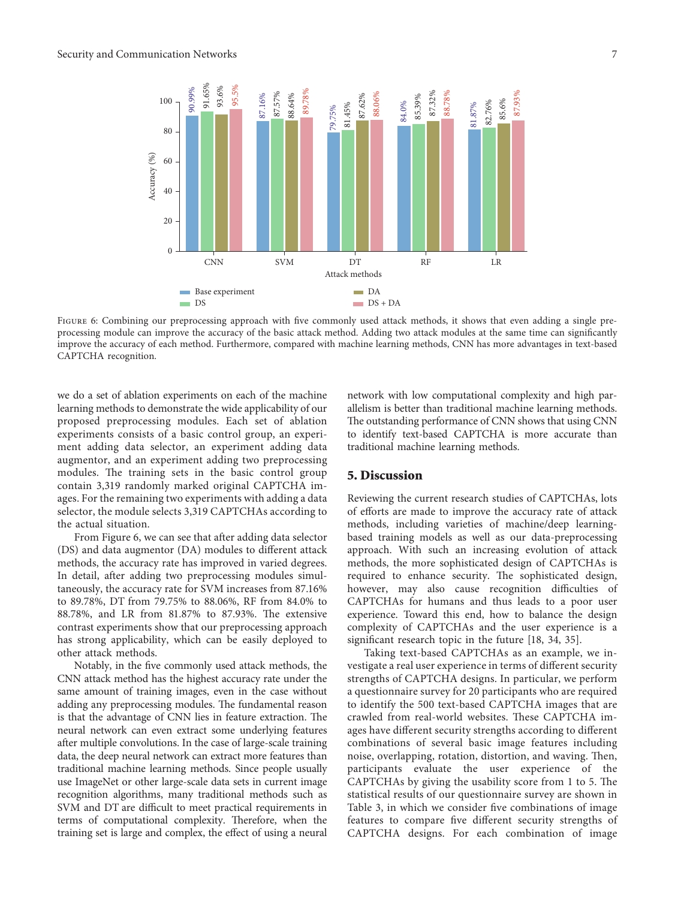<span id="page-6-0"></span>

Figure 6: Combining our preprocessing approach with five commonly used attack methods, it shows that even adding a single preprocessing module can improve the accuracy of the basic attack method. Adding two attack modules at the same time can significantly improve the accuracy of each method. Furthermore, compared with machine learning methods, CNN has more advantages in text-based CAPTCHA recognition.

we do a set of ablation experiments on each of the machine learning methods to demonstrate the wide applicability of our proposed preprocessing modules. Each set of ablation experiments consists of a basic control group, an experiment adding data selector, an experiment adding data augmentor, and an experiment adding two preprocessing modules. The training sets in the basic control group contain 3,319 randomly marked original CAPTCHA images. For the remaining two experiments with adding a data selector, the module selects 3,319 CAPTCHAs according to the actual situation.

From Figure 6, we can see that after adding data selector (DS) and data augmentor (DA) modules to different attack methods, the accuracy rate has improved in varied degrees. In detail, after adding two preprocessing modules simultaneously, the accuracy rate for SVM increases from 87.16% to 89.78%, DT from 79.75% to 88.06%, RF from 84.0% to 88.78%, and LR from 81.87% to 87.93%. The extensive contrast experiments show that our preprocessing approach has strong applicability, which can be easily deployed to other attack methods.

Notably, in the five commonly used attack methods, the CNN attack method has the highest accuracy rate under the same amount of training images, even in the case without adding any preprocessing modules. The fundamental reason is that the advantage of CNN lies in feature extraction. The neural network can even extract some underlying features after multiple convolutions. In the case of large-scale training data, the deep neural network can extract more features than traditional machine learning methods. Since people usually use ImageNet or other large-scale data sets in current image recognition algorithms, many traditional methods such as SVM and DT are difficult to meet practical requirements in terms of computational complexity. Therefore, when the training set is large and complex, the effect of using a neural

network with low computational complexity and high parallelism is better than traditional machine learning methods. The outstanding performance of CNN shows that using CNN to identify text-based CAPTCHA is more accurate than traditional machine learning methods.

# **5. Discussion**

Reviewing the current research studies of CAPTCHAs, lots of efforts are made to improve the accuracy rate of attack methods, including varieties of machine/deep learningbased training models as well as our data-preprocessing approach. With such an increasing evolution of attack methods, the more sophisticated design of CAPTCHAs is required to enhance security. The sophisticated design, however, may also cause recognition difficulties of CAPTCHAs for humans and thus leads to a poor user experience. Toward this end, how to balance the design complexity of CAPTCHAs and the user experience is a significant research topic in the future [[18, 34, 35](#page-8-0)].

Taking text-based CAPTCHAs as an example, we investigate a real user experience in terms of different security strengths of CAPTCHA designs. In particular, we perform a questionnaire survey for 20 participants who are required to identify the 500 text-based CAPTCHA images that are crawled from real-world websites. These CAPTCHA images have different security strengths according to different combinations of several basic image features including noise, overlapping, rotation, distortion, and waving. Then, participants evaluate the user experience of the  $CAPTCHAs$  by giving the usability score from 1 to 5. The statistical results of our questionnaire survey are shown in Table [3,](#page-7-0) in which we consider five combinations of image features to compare five different security strengths of CAPTCHA designs. For each combination of image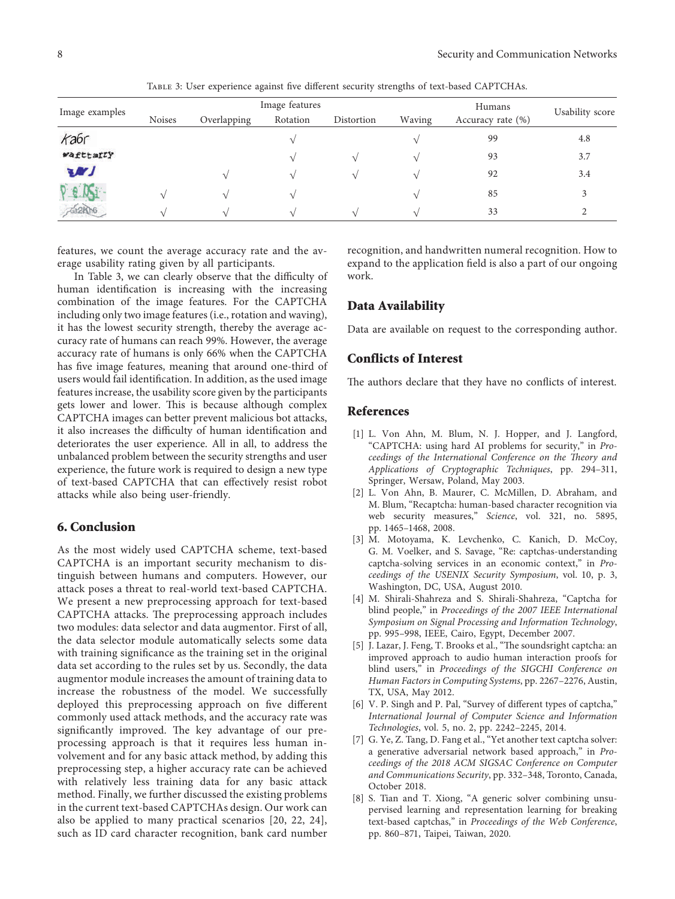<span id="page-7-0"></span>

| Image examples | <b>Noises</b> | Image features<br>Overlapping<br>Rotation<br>Waving<br>Distortion |  |  |  | Humans<br>Accuracy rate (%) | Usability score |
|----------------|---------------|-------------------------------------------------------------------|--|--|--|-----------------------------|-----------------|
| Ka6r           |               |                                                                   |  |  |  | 99                          | 4.8             |
| wafttarry      |               |                                                                   |  |  |  |                             |                 |
|                |               |                                                                   |  |  |  | 93                          | 3.7             |
| マルノ            |               |                                                                   |  |  |  | 92                          | 3.4             |
|                |               |                                                                   |  |  |  | 85                          | 3               |
| Ga2KN6         |               |                                                                   |  |  |  | 33                          |                 |

Table 3: User experience against five different security strengths of text-based CAPTCHAs.

features, we count the average accuracy rate and the average usability rating given by all participants.

In Table 3, we can clearly observe that the difficulty of human identification is increasing with the increasing combination of the image features. For the CAPTCHA including only two image features (i.e., rotation and waving), it has the lowest security strength, thereby the average accuracy rate of humans can reach 99%. However, the average accuracy rate of humans is only 66% when the CAPTCHA has five image features, meaning that around one-third of users would fail identification. In addition, as the used image features increase, the usability score given by the participants gets lower and lower. This is because although complex CAPTCHA images can better prevent malicious bot attacks, it also increases the difficulty of human identification and deteriorates the user experience. All in all, to address the unbalanced problem between the security strengths and user experience, the future work is required to design a new type of text-based CAPTCHA that can effectively resist robot attacks while also being user-friendly.

# **6. Conclusion**

As the most widely used CAPTCHA scheme, text-based CAPTCHA is an important security mechanism to distinguish between humans and computers. However, our attack poses a threat to real-world text-based CAPTCHA. We present a new preprocessing approach for text-based CAPTCHA attacks. The preprocessing approach includes two modules: data selector and data augmentor. First of all, the data selector module automatically selects some data with training significance as the training set in the original data set according to the rules set by us. Secondly, the data augmentor module increases the amount of training data to increase the robustness of the model. We successfully deployed this preprocessing approach on five different commonly used attack methods, and the accuracy rate was significantly improved. The key advantage of our preprocessing approach is that it requires less human involvement and for any basic attack method, by adding this preprocessing step, a higher accuracy rate can be achieved with relatively less training data for any basic attack method. Finally, we further discussed the existing problems in the current text-based CAPTCHAs design. Our work can also be applied to many practical scenarios [[20, 22](#page-8-0), [24](#page-8-0)], such as ID card character recognition, bank card number recognition, and handwritten numeral recognition. How to expand to the application field is also a part of our ongoing work.

# **Data Availability**

Data are available on request to the corresponding author.

### **Conflicts of Interest**

The authors declare that they have no conflicts of interest.

# **References**

- [1] L. Von Ahn, M. Blum, N. J. Hopper, and J. Langford, "CAPTCHA: using hard AI problems for security," in *Proceedings of the International Conference on the Theory and Applications of Cryptographic Techniques*, pp. 294–311, Springer, Wersaw, Poland, May 2003.
- [2] L. Von Ahn, B. Maurer, C. McMillen, D. Abraham, and M. Blum, "Recaptcha: human-based character recognition via web security measures," *Science*, vol. 321, no. 5895, pp. 1465–1468, 2008.
- [3] M. Motoyama, K. Levchenko, C. Kanich, D. McCoy, G. M. Voelker, and S. Savage, "Re: captchas-understanding captcha-solving services in an economic context," in *Proceedings of the USENIX Security Symposium*, vol. 10, p. 3, Washington, DC, USA, August 2010.
- [4] M. Shirali-Shahreza and S. Shirali-Shahreza, "Captcha for blind people," in *Proceedings of the 2007 IEEE International Symposium on Signal Processing and Information Technology*, pp. 995–998, IEEE, Cairo, Egypt, December 2007.
- [5] J. Lazar, J. Feng, T. Brooks et al., "The soundsright captcha: an improved approach to audio human interaction proofs for blind users," in *Proceedings of the SIGCHI Conference on Human Factors in Computing Systems*, pp. 2267–2276, Austin, TX, USA, May 2012.
- [6] V. P. Singh and P. Pal, "Survey of different types of captcha," *International Journal of Computer Science and Information Technologies*, vol. 5, no. 2, pp. 2242–2245, 2014.
- [7] G. Ye, Z. Tang, D. Fang et al., "Yet another text captcha solver: a generative adversarial network based approach," in *Proceedings of the 2018 ACM SIGSAC Conference on Computer and Communications Security*, pp. 332–348, Toronto, Canada, October 2018.
- [8] S. Tian and T. Xiong, "A generic solver combining unsupervised learning and representation learning for breaking text-based captchas," in *Proceedings of the Web Conference*, pp. 860–871, Taipei, Taiwan, 2020.